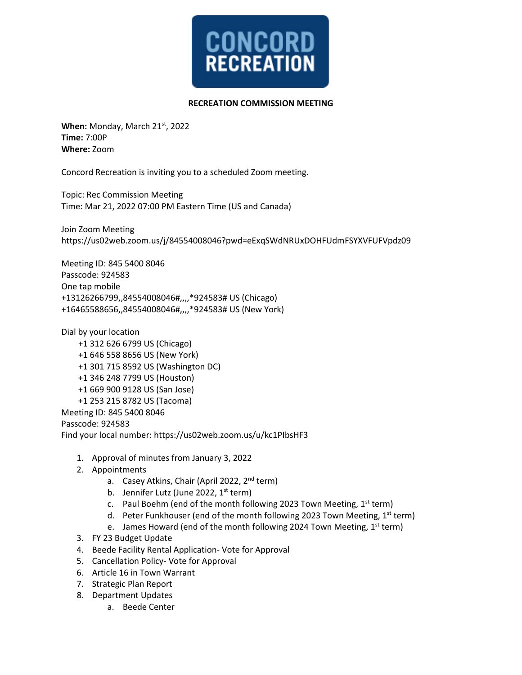

## **RECREATION COMMISSION MEETING**

When: Monday, March 21<sup>st</sup>, 2022 **Time:** 7:00P **Where:** Zoom

Concord Recreation is inviting you to a scheduled Zoom meeting.

Topic: Rec Commission Meeting Time: Mar 21, 2022 07:00 PM Eastern Time (US and Canada)

Join Zoom Meeting https://us02web.zoom.us/j/84554008046?pwd=eExqSWdNRUxDOHFUdmFSYXVFUFVpdz09

Meeting ID: 845 5400 8046 Passcode: 924583 One tap mobile +13126266799,,84554008046#,,,,\*924583# US (Chicago) +16465588656,,84554008046#,,,,\*924583# US (New York)

Dial by your location

 +1 312 626 6799 US (Chicago) +1 646 558 8656 US (New York) +1 301 715 8592 US (Washington DC) +1 346 248 7799 US (Houston) +1 669 900 9128 US (San Jose) +1 253 215 8782 US (Tacoma) Meeting ID: 845 5400 8046 Passcode: 924583

Find your local number: https://us02web.zoom.us/u/kc1PIbsHF3

- 1. Approval of minutes from January 3, 2022
- 2. Appointments
	- a. Casey Atkins, Chair (April 2022, 2<sup>nd</sup> term)
	- b. Jennifer Lutz (June 2022,  $1<sup>st</sup>$  term)
	- c. Paul Boehm (end of the month following 2023 Town Meeting,  $1<sup>st</sup>$  term)
	- d. Peter Funkhouser (end of the month following 2023 Town Meeting, 1st term)
	- e. James Howard (end of the month following 2024 Town Meeting,  $1<sup>st</sup>$  term)
- 3. FY 23 Budget Update
- 4. Beede Facility Rental Application- Vote for Approval
- 5. Cancellation Policy- Vote for Approval
- 6. Article 16 in Town Warrant
- 7. Strategic Plan Report
- 8. Department Updates
	- a. Beede Center